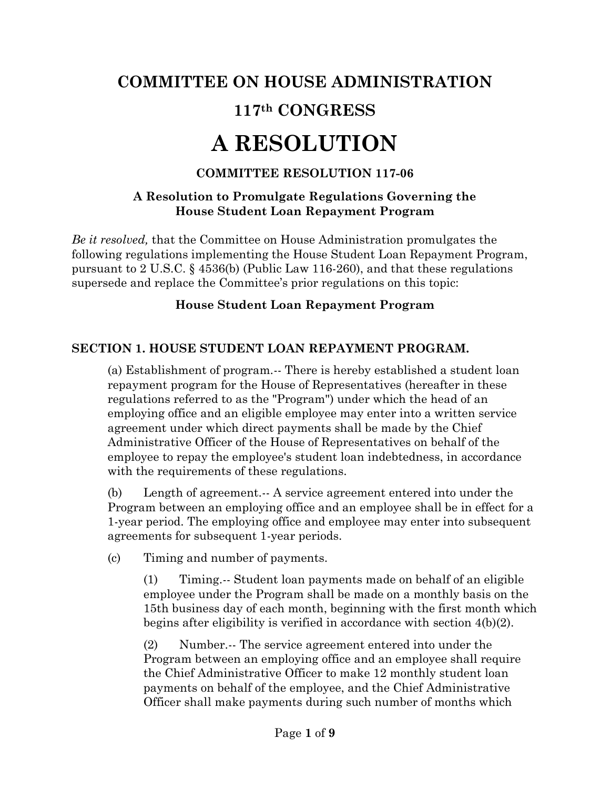# **COMMITTEE ON HOUSE ADMINISTRATION 117th CONGRESS**

# **A RESOLUTION**

### **COMMITTEE RESOLUTION 117-06**

#### **A Resolution to Promulgate Regulations Governing the House Student Loan Repayment Program**

*Be it resolved,* that the Committee on House Administration promulgates the following regulations implementing the House Student Loan Repayment Program, pursuant to 2 U.S.C. § 4536(b) (Public Law 116-260), and that these regulations supersede and replace the Committee's prior regulations on this topic:

#### **House Student Loan Repayment Program**

#### **SECTION 1. HOUSE STUDENT LOAN REPAYMENT PROGRAM.**

(a) Establishment of program.-- There is hereby established a student loan repayment program for the House of Representatives (hereafter in these regulations referred to as the "Program") under which the head of an employing office and an eligible employee may enter into a written service agreement under which direct payments shall be made by the Chief Administrative Officer of the House of Representatives on behalf of the employee to repay the employee's student loan indebtedness, in accordance with the requirements of these regulations.

(b) Length of agreement.-- A service agreement entered into under the Program between an employing office and an employee shall be in effect for a 1-year period. The employing office and employee may enter into subsequent agreements for subsequent 1-year periods.

(c) Timing and number of payments.

(1) Timing.-- Student loan payments made on behalf of an eligible employee under the Program shall be made on a monthly basis on the 15th business day of each month, beginning with the first month which begins after eligibility is verified in accordance with section 4(b)(2).

(2) Number.-- The service agreement entered into under the Program between an employing office and an employee shall require the Chief Administrative Officer to make 12 monthly student loan payments on behalf of the employee, and the Chief Administrative Officer shall make payments during such number of months which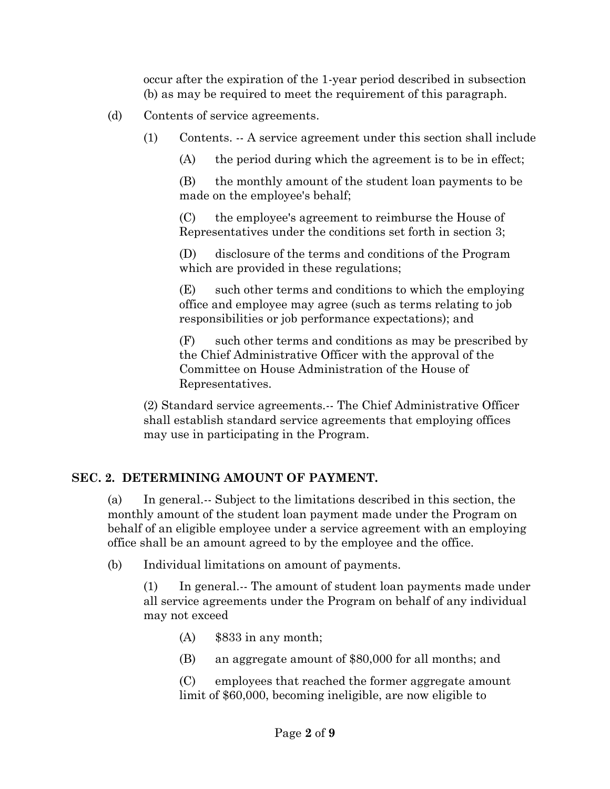occur after the expiration of the 1-year period described in subsection (b) as may be required to meet the requirement of this paragraph.

- (d) Contents of service agreements.
	- (1) Contents. -- A service agreement under this section shall include
		- (A) the period during which the agreement is to be in effect;

(B) the monthly amount of the student loan payments to be made on the employee's behalf;

(C) the employee's agreement to reimburse the House of Representatives under the conditions set forth in section 3;

(D) disclosure of the terms and conditions of the Program which are provided in these regulations;

(E) such other terms and conditions to which the employing office and employee may agree (such as terms relating to job responsibilities or job performance expectations); and

(F) such other terms and conditions as may be prescribed by the Chief Administrative Officer with the approval of the Committee on House Administration of the House of Representatives.

(2) Standard service agreements.-- The Chief Administrative Officer shall establish standard service agreements that employing offices may use in participating in the Program.

#### **SEC. 2. DETERMINING AMOUNT OF PAYMENT.**

(a) In general.-- Subject to the limitations described in this section, the monthly amount of the student loan payment made under the Program on behalf of an eligible employee under a service agreement with an employing office shall be an amount agreed to by the employee and the office.

(b) Individual limitations on amount of payments.

(1) In general.-- The amount of student loan payments made under all service agreements under the Program on behalf of any individual may not exceed

- $(A)$  \$833 in any month;
- (B) an aggregate amount of \$80,000 for all months; and

(C) employees that reached the former aggregate amount limit of \$60,000, becoming ineligible, are now eligible to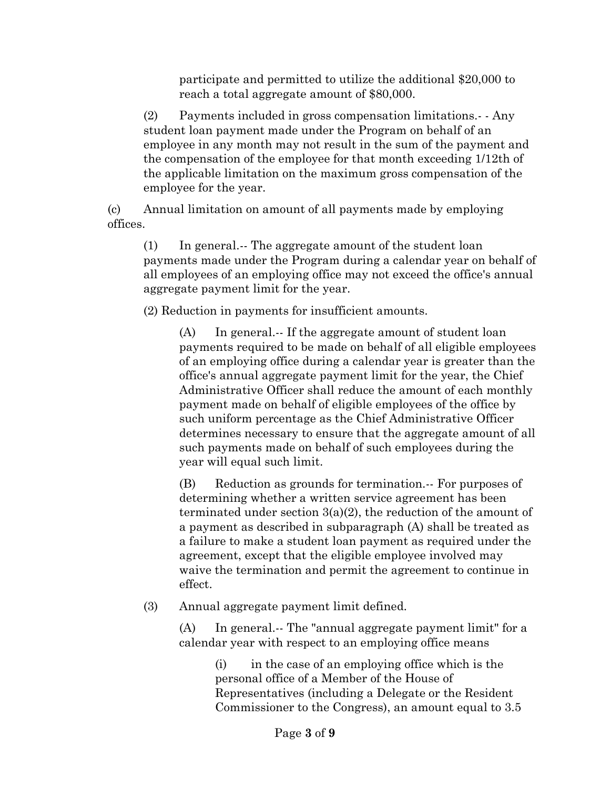participate and permitted to utilize the additional \$20,000 to reach a total aggregate amount of \$80,000.

(2) Payments included in gross compensation limitations.- - Any student loan payment made under the Program on behalf of an employee in any month may not result in the sum of the payment and the compensation of the employee for that month exceeding 1/12th of the applicable limitation on the maximum gross compensation of the employee for the year.

(c) Annual limitation on amount of all payments made by employing offices.

(1) In general.-- The aggregate amount of the student loan payments made under the Program during a calendar year on behalf of all employees of an employing office may not exceed the office's annual aggregate payment limit for the year.

(2) Reduction in payments for insufficient amounts.

(A) In general.-- If the aggregate amount of student loan payments required to be made on behalf of all eligible employees of an employing office during a calendar year is greater than the office's annual aggregate payment limit for the year, the Chief Administrative Officer shall reduce the amount of each monthly payment made on behalf of eligible employees of the office by such uniform percentage as the Chief Administrative Officer determines necessary to ensure that the aggregate amount of all such payments made on behalf of such employees during the year will equal such limit.

(B) Reduction as grounds for termination.-- For purposes of determining whether a written service agreement has been terminated under section 3(a)(2), the reduction of the amount of a payment as described in subparagraph (A) shall be treated as a failure to make a student loan payment as required under the agreement, except that the eligible employee involved may waive the termination and permit the agreement to continue in effect.

(3) Annual aggregate payment limit defined.

(A) In general.-- The "annual aggregate payment limit" for a calendar year with respect to an employing office means

> (i) in the case of an employing office which is the personal office of a Member of the House of Representatives (including a Delegate or the Resident Commissioner to the Congress), an amount equal to 3.5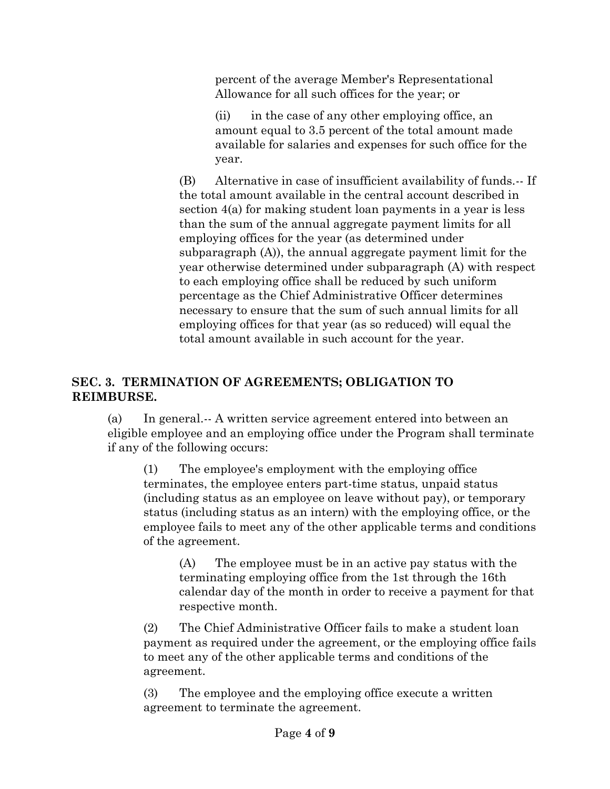percent of the average Member's Representational Allowance for all such offices for the year; or

(ii) in the case of any other employing office, an amount equal to 3.5 percent of the total amount made available for salaries and expenses for such office for the year.

(B) Alternative in case of insufficient availability of funds.-- If the total amount available in the central account described in section 4(a) for making student loan payments in a year is less than the sum of the annual aggregate payment limits for all employing offices for the year (as determined under subparagraph (A)), the annual aggregate payment limit for the year otherwise determined under subparagraph (A) with respect to each employing office shall be reduced by such uniform percentage as the Chief Administrative Officer determines necessary to ensure that the sum of such annual limits for all employing offices for that year (as so reduced) will equal the total amount available in such account for the year.

#### **SEC. 3. TERMINATION OF AGREEMENTS; OBLIGATION TO REIMBURSE.**

(a) In general.-- A written service agreement entered into between an eligible employee and an employing office under the Program shall terminate if any of the following occurs:

(1) The employee's employment with the employing office terminates, the employee enters part-time status, unpaid status (including status as an employee on leave without pay), or temporary status (including status as an intern) with the employing office, or the employee fails to meet any of the other applicable terms and conditions of the agreement.

(A) The employee must be in an active pay status with the terminating employing office from the 1st through the 16th calendar day of the month in order to receive a payment for that respective month.

(2) The Chief Administrative Officer fails to make a student loan payment as required under the agreement, or the employing office fails to meet any of the other applicable terms and conditions of the agreement.

(3) The employee and the employing office execute a written agreement to terminate the agreement.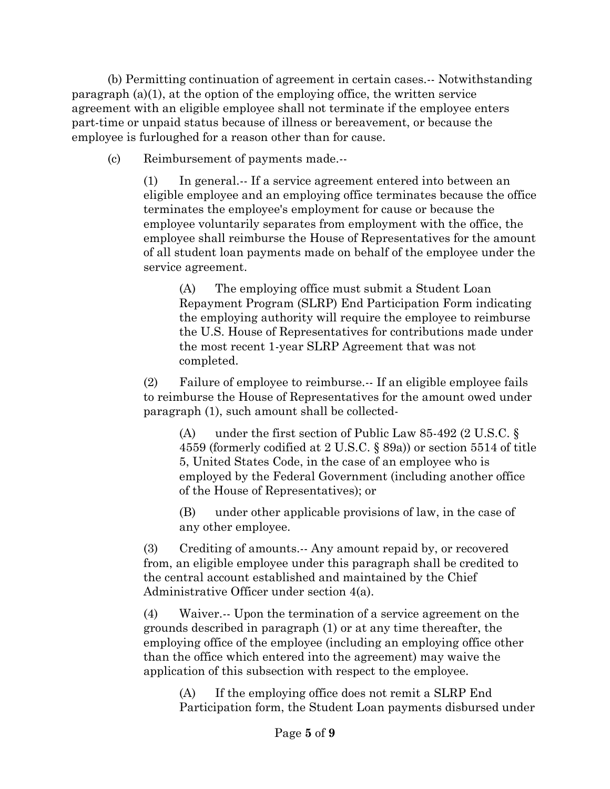(b) Permitting continuation of agreement in certain cases.-- Notwithstanding paragraph (a)(1), at the option of the employing office, the written service agreement with an eligible employee shall not terminate if the employee enters part-time or unpaid status because of illness or bereavement, or because the employee is furloughed for a reason other than for cause.

(c) Reimbursement of payments made.--

(1) In general.-- If a service agreement entered into between an eligible employee and an employing office terminates because the office terminates the employee's employment for cause or because the employee voluntarily separates from employment with the office, the employee shall reimburse the House of Representatives for the amount of all student loan payments made on behalf of the employee under the service agreement.

(A) The employing office must submit a Student Loan Repayment Program (SLRP) End Participation Form indicating the employing authority will require the employee to reimburse the U.S. House of Representatives for contributions made under the most recent 1-year SLRP Agreement that was not completed.

(2) Failure of employee to reimburse.-- If an eligible employee fails to reimburse the House of Representatives for the amount owed under paragraph (1), such amount shall be collected-

(A) under the first section of Public Law 85-492 (2 U.S.C. § 4559 (formerly codified at 2 U.S.C. § 89a)) or section 5514 of title 5, United States Code, in the case of an employee who is employed by the Federal Government (including another office of the House of Representatives); or

(B) under other applicable provisions of law, in the case of any other employee.

(3) Crediting of amounts.-- Any amount repaid by, or recovered from, an eligible employee under this paragraph shall be credited to the central account established and maintained by the Chief Administrative Officer under section 4(a).

(4) Waiver.-- Upon the termination of a service agreement on the grounds described in paragraph (1) or at any time thereafter, the employing office of the employee (including an employing office other than the office which entered into the agreement) may waive the application of this subsection with respect to the employee.

(A) If the employing office does not remit a SLRP End Participation form, the Student Loan payments disbursed under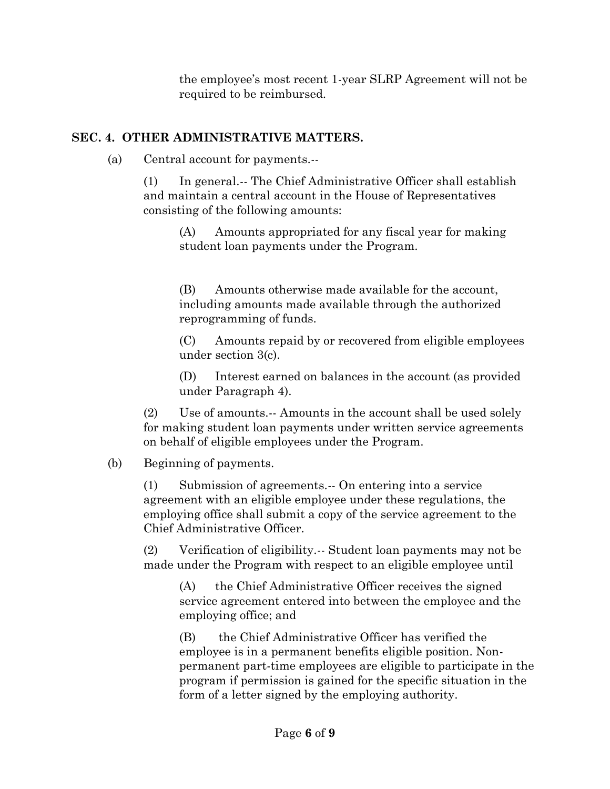the employee's most recent 1-year SLRP Agreement will not be required to be reimbursed.

#### **SEC. 4. OTHER ADMINISTRATIVE MATTERS.**

(a) Central account for payments.--

(1) In general.-- The Chief Administrative Officer shall establish and maintain a central account in the House of Representatives consisting of the following amounts:

(A) Amounts appropriated for any fiscal year for making student loan payments under the Program.

(B) Amounts otherwise made available for the account, including amounts made available through the authorized reprogramming of funds.

(C) Amounts repaid by or recovered from eligible employees under section 3(c).

(D) Interest earned on balances in the account (as provided under Paragraph 4).

(2) Use of amounts.-- Amounts in the account shall be used solely for making student loan payments under written service agreements on behalf of eligible employees under the Program.

# (b) Beginning of payments.

(1) Submission of agreements.-- On entering into a service agreement with an eligible employee under these regulations, the employing office shall submit a copy of the service agreement to the Chief Administrative Officer.

(2) Verification of eligibility.-- Student loan payments may not be made under the Program with respect to an eligible employee until

(A) the Chief Administrative Officer receives the signed service agreement entered into between the employee and the employing office; and

(B) the Chief Administrative Officer has verified the employee is in a permanent benefits eligible position. Nonpermanent part-time employees are eligible to participate in the program if permission is gained for the specific situation in the form of a letter signed by the employing authority.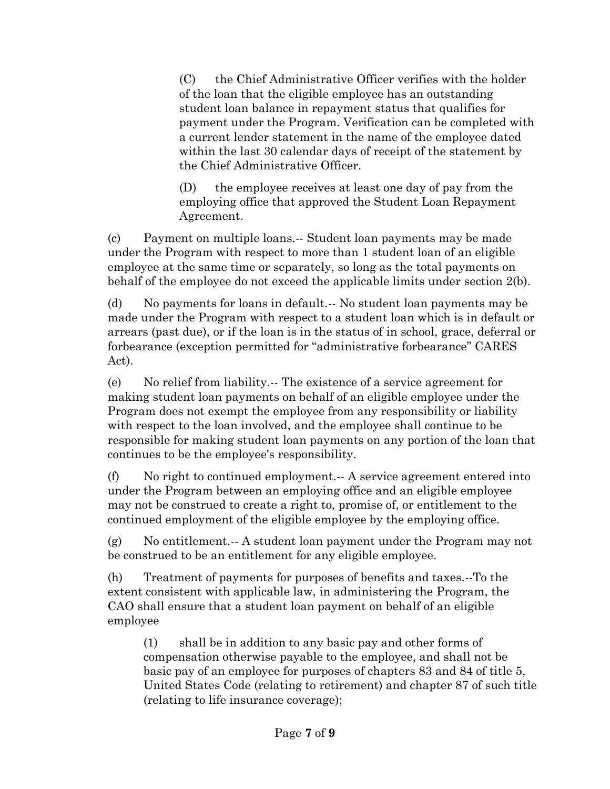(C) the Chief Administrative Officer verifies with the holder of the loan that the eligible employee has an outstanding student loan balance in repayment status that qualifies for payment under the Program. Verification can be completed with a current lender statement in the name of the employee dated within the last 30 calendar days of receipt of the statement by the Chief Administrative Officer.

(D) the employee receives at least one day of pay from the employing office that approved the Student Loan Repayment Agreement.

(c) Payment on multiple loans.-- Student loan payments may be made under the Program with respect to more than 1 student loan of an eligible employee at the same time or separately, so long as the total payments on behalf of the employee do not exceed the applicable limits under section 2(b).

(d) No payments for loans in default.-- No student loan payments may be made under the Program with respect to a student loan which is in default or arrears (past due), or if the loan is in the status of in school, grace, deferral or forbearance (exception permitted for "administrative forbearance" CARES Act).

(e) No relief from liability.-- The existence of a service agreement for making student loan payments on behalf of an eligible employee under the Program does not exempt the employee from any responsibility or liability with respect to the loan involved, and the employee shall continue to be responsible for making student loan payments on any portion of the loan that continues to be the employee's responsibility.

(f) No right to continued employment.-- A service agreement entered into under the Program between an employing office and an eligible employee may not be construed to create a right to, promise of, or entitlement to the continued employment of the eligible employee by the employing office.

(g) No entitlement.-- A student loan payment under the Program may not be construed to be an entitlement for any eligible employee.

(h) Treatment of payments for purposes of benefits and taxes.--To the extent consistent with applicable law, in administering the Program, the CAO shall ensure that a student loan payment on behalf of an eligible employee

(1) shall be in addition to any basic pay and other forms of compensation otherwise payable to the employee, and shall not be basic pay of an employee for purposes of chapters 83 and 84 of title 5, United States Code (relating to retirement) and chapter 87 of such title (relating to life insurance coverage);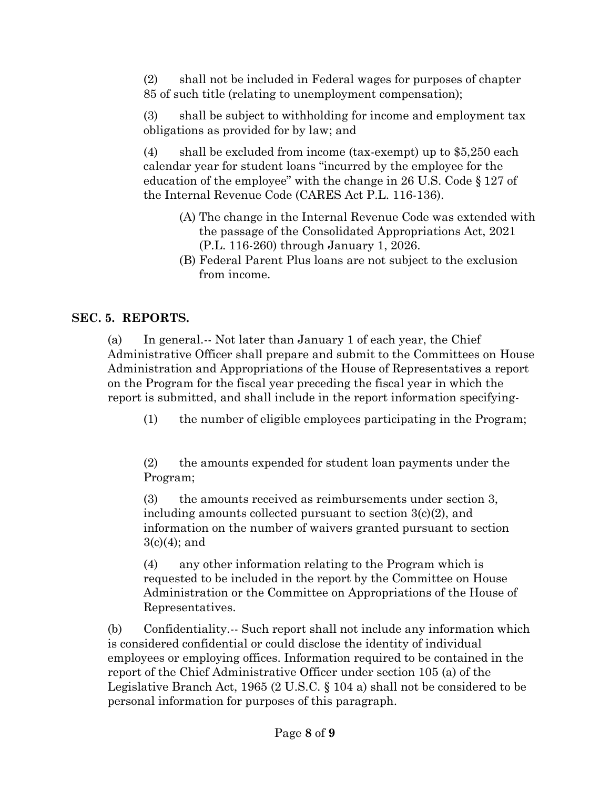(2) shall not be included in Federal wages for purposes of chapter 85 of such title (relating to unemployment compensation);

(3) shall be subject to withholding for income and employment tax obligations as provided for by law; and

(4) shall be excluded from income (tax-exempt) up to \$5,250 each calendar year for student loans "incurred by the employee for the education of the employee" with the change in 26 U.S. Code § 127 of the Internal Revenue Code (CARES Act P.L. 116-136).

- (A) The change in the Internal Revenue Code was extended with the passage of the Consolidated Appropriations Act, 2021 (P.L. 116-260) through January 1, 2026.
- (B) Federal Parent Plus loans are not subject to the exclusion from income.

# **SEC. 5. REPORTS.**

(a) In general.-- Not later than January 1 of each year, the Chief Administrative Officer shall prepare and submit to the Committees on House Administration and Appropriations of the House of Representatives a report on the Program for the fiscal year preceding the fiscal year in which the report is submitted, and shall include in the report information specifying-

(1) the number of eligible employees participating in the Program;

(2) the amounts expended for student loan payments under the Program;

(3) the amounts received as reimbursements under section 3, including amounts collected pursuant to section 3(c)(2), and information on the number of waivers granted pursuant to section  $3(c)(4)$ ; and

(4) any other information relating to the Program which is requested to be included in the report by the Committee on House Administration or the Committee on Appropriations of the House of Representatives.

(b) Confidentiality.-- Such report shall not include any information which is considered confidential or could disclose the identity of individual employees or employing offices. Information required to be contained in the report of the Chief Administrative Officer under section 105 (a) of the Legislative Branch Act, 1965 (2 U.S.C. § 104 a) shall not be considered to be personal information for purposes of this paragraph.